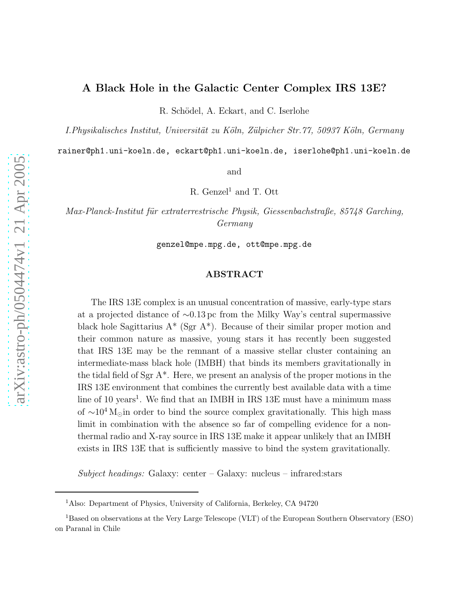# A Black Hole in the Galactic Center Complex IRS 13E?

R. Schödel, A. Eckart, and C. Iserlohe

*I.Physikalisches Institut, Universität zu Köln, Zülpicher Str.77, 50937 Köln, Germany* 

rainer@ph1.uni-koeln.de, eckart@ph1.uni-koeln.de, iserlohe@ph1.uni-koeln.de

and

R. Genzel<sup>1</sup> and T. Ott

*Max-Planck-Institut f¨ur extraterrestrische Physik, Giessenbachstraße, 85748 Garching, Germany*

genzel@mpe.mpg.de, ott@mpe.mpg.de

# ABSTRACT

The IRS 13E complex is an unusual concentration of massive, early-type stars at a projected distance of ∼0.13 pc from the Milky Way's central supermassive black hole Sagittarius  $A^*$  (Sgr  $A^*$ ). Because of their similar proper motion and their common nature as massive, young stars it has recently been suggested that IRS 13E may be the remnant of a massive stellar cluster containing an intermediate-mass black hole (IMBH) that binds its members gravitationally in the tidal field of Sgr  $A^*$ . Here, we present an analysis of the proper motions in the IRS 13E environment that combines the currently best available data with a time line of 10 years<sup>1</sup>. We find that an IMBH in IRS 13E must have a minimum mass of  $\sim 10^4$  M<sub>⊙</sub>in order to bind the source complex gravitationally. This high mass limit in combination with the absence so far of compelling evidence for a nonthermal radio and X-ray source in IRS 13E make it appear unlikely that an IMBH exists in IRS 13E that is sufficiently massive to bind the system gravitationally.

*Subject headings:* Galaxy: center – Galaxy: nucleus – infrared:stars

<sup>1</sup>Also: Department of Physics, University of California, Berkeley, CA 94720

<sup>1</sup>Based on observations at the Very Large Telescope (VLT) of the European Southern Observatory (ESO) on Paranal in Chile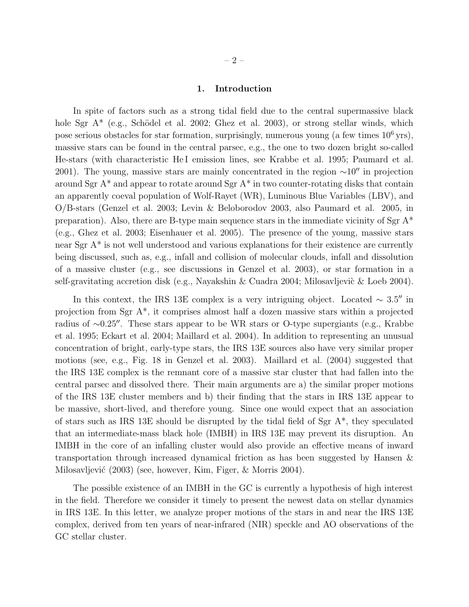## 1. Introduction

In spite of factors such as a strong tidal field due to the central supermassive black hole Sgr  $A^*$  (e.g., Schödel et al. 2002; Ghez et al. 2003), or strong stellar winds, which pose serious obstacles for star formation, surprisingly, numerous young (a few times  $10^6$  yrs), massive stars can be found in the central parsec, e.g., the one to two dozen bright so-called He-stars (with characteristic He I emission lines, see Krabbe et al. 1995; Paumard et al. 2001). The young, massive stars are mainly concentrated in the region  $\sim 10''$  in projection around Sgr A\* and appear to rotate around Sgr A\* in two counter-rotating disks that contain an apparently coeval population of Wolf-Rayet (WR), Luminous Blue Variables (LBV), and O/B-stars (Genzel et al. 2003; Levin & Beloborodov 2003, also Paumard et al. 2005, in preparation). Also, there are B-type main sequence stars in the immediate vicinity of  $Sgr A^*$ (e.g., Ghez et al. 2003; Eisenhauer et al. 2005). The presence of the young, massive stars near Sgr A\* is not well understood and various explanations for their existence are currently being discussed, such as, e.g., infall and collision of molecular clouds, infall and dissolution of a massive cluster (e.g., see discussions in Genzel et al. 2003), or star formation in a self-gravitating accretion disk (e.g., Nayakshin & Cuadra 2004; Milosavljevic & Loeb 2004).

In this context, the IRS 13E complex is a very intriguing object. Located  $\sim 3.5''$  in projection from Sgr A\*, it comprises almost half a dozen massive stars within a projected radius of ∼0.25′′. These stars appear to be WR stars or O-type supergiants (e.g., Krabbe et al. 1995; Eckart et al. 2004; Maillard et al. 2004). In addition to representing an unusual concentration of bright, early-type stars, the IRS 13E sources also have very similar proper motions (see, e.g., Fig. 18 in Genzel et al. 2003). Maillard et al. (2004) suggested that the IRS 13E complex is the remnant core of a massive star cluster that had fallen into the central parsec and dissolved there. Their main arguments are a) the similar proper motions of the IRS 13E cluster members and b) their finding that the stars in IRS 13E appear to be massive, short-lived, and therefore young. Since one would expect that an association of stars such as IRS 13E should be disrupted by the tidal field of Sgr A\*, they speculated that an intermediate-mass black hole (IMBH) in IRS 13E may prevent its disruption. An IMBH in the core of an infalling cluster would also provide an effective means of inward transportation through increased dynamical friction as has been suggested by Hansen & Milosavljević (2003) (see, however, Kim, Figer, & Morris 2004).

The possible existence of an IMBH in the GC is currently a hypothesis of high interest in the field. Therefore we consider it timely to present the newest data on stellar dynamics in IRS 13E. In this letter, we analyze proper motions of the stars in and near the IRS 13E complex, derived from ten years of near-infrared (NIR) speckle and AO observations of the GC stellar cluster.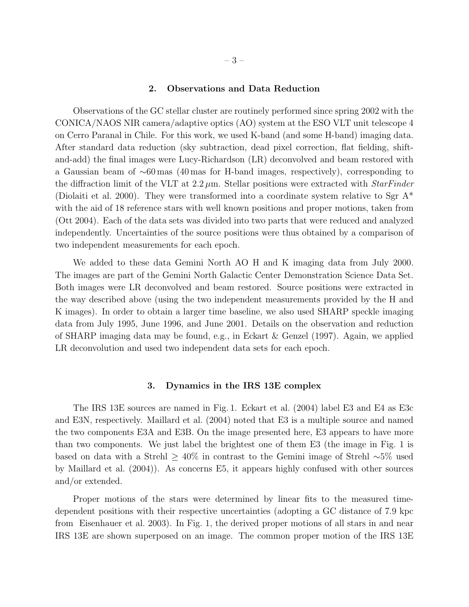#### 2. Observations and Data Reduction

Observations of the GC stellar cluster are routinely performed since spring 2002 with the CONICA/NAOS NIR camera/adaptive optics (AO) system at the ESO VLT unit telescope 4 on Cerro Paranal in Chile. For this work, we used K-band (and some H-band) imaging data. After standard data reduction (sky subtraction, dead pixel correction, flat fielding, shiftand-add) the final images were Lucy-Richardson (LR) deconvolved and beam restored with a Gaussian beam of ∼60 mas (40 mas for H-band images, respectively), corresponding to the diffraction limit of the VLT at  $2.2 \mu$ m. Stellar positions were extracted with *StarFinder* (Diolaiti et al. 2000). They were transformed into a coordinate system relative to Sgr A\* with the aid of 18 reference stars with well known positions and proper motions, taken from (Ott 2004). Each of the data sets was divided into two parts that were reduced and analyzed independently. Uncertainties of the source positions were thus obtained by a comparison of two independent measurements for each epoch.

We added to these data Gemini North AO H and K imaging data from July 2000. The images are part of the Gemini North Galactic Center Demonstration Science Data Set. Both images were LR deconvolved and beam restored. Source positions were extracted in the way described above (using the two independent measurements provided by the H and K images). In order to obtain a larger time baseline, we also used SHARP speckle imaging data from July 1995, June 1996, and June 2001. Details on the observation and reduction of SHARP imaging data may be found, e.g., in Eckart & Genzel (1997). Again, we applied LR deconvolution and used two independent data sets for each epoch.

## 3. Dynamics in the IRS 13E complex

The IRS 13E sources are named in Fig. 1. Eckart et al. (2004) label E3 and E4 as E3c and E3N, respectively. Maillard et al. (2004) noted that E3 is a multiple source and named the two components E3A and E3B. On the image presented here, E3 appears to have more than two components. We just label the brightest one of them E3 (the image in Fig. 1 is based on data with a Strehl ≥ 40% in contrast to the Gemini image of Strehl ∼5% used by Maillard et al. (2004)). As concerns E5, it appears highly confused with other sources and/or extended.

Proper motions of the stars were determined by linear fits to the measured timedependent positions with their respective uncertainties (adopting a GC distance of 7.9 kpc from Eisenhauer et al. 2003). In Fig. 1, the derived proper motions of all stars in and near IRS 13E are shown superposed on an image. The common proper motion of the IRS 13E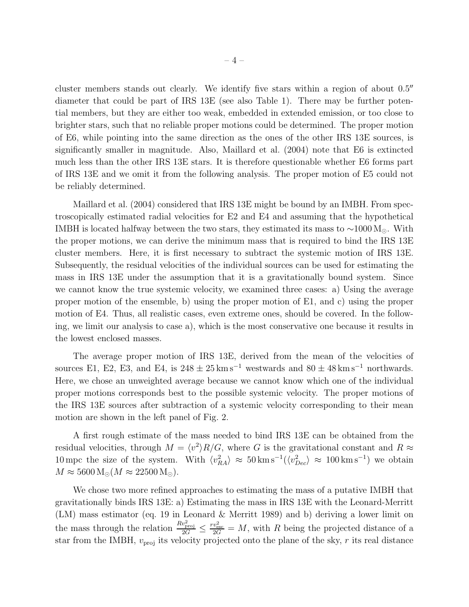cluster members stands out clearly. We identify five stars within a region of about 0.5" diameter that could be part of IRS 13E (see also Table 1). There may be further potential members, but they are either too weak, embedded in extended emission, or too close to brighter stars, such that no reliable proper motions could be determined. The proper motion of E6, while pointing into the same direction as the ones of the other IRS 13E sources, is significantly smaller in magnitude. Also, Maillard et al. (2004) note that E6 is extincted much less than the other IRS 13E stars. It is therefore questionable whether E6 forms part of IRS 13E and we omit it from the following analysis. The proper motion of E5 could not be reliably determined.

Maillard et al. (2004) considered that IRS 13E might be bound by an IMBH. From spectroscopically estimated radial velocities for E2 and E4 and assuming that the hypothetical IMBH is located halfway between the two stars, they estimated its mass to  $\sim 1000 \,\mathrm{M}_{\odot}$ . With the proper motions, we can derive the minimum mass that is required to bind the IRS 13E cluster members. Here, it is first necessary to subtract the systemic motion of IRS 13E. Subsequently, the residual velocities of the individual sources can be used for estimating the mass in IRS 13E under the assumption that it is a gravitationally bound system. Since we cannot know the true systemic velocity, we examined three cases: a) Using the average proper motion of the ensemble, b) using the proper motion of E1, and c) using the proper motion of E4. Thus, all realistic cases, even extreme ones, should be covered. In the following, we limit our analysis to case a), which is the most conservative one because it results in the lowest enclosed masses.

The average proper motion of IRS 13E, derived from the mean of the velocities of sources E1, E2, E3, and E4, is  $248 \pm 25 \,\mathrm{km \, s^{-1}}$  westwards and  $80 \pm 48 \,\mathrm{km \, s^{-1}}$  northwards. Here, we chose an unweighted average because we cannot know which one of the individual proper motions corresponds best to the possible systemic velocity. The proper motions of the IRS 13E sources after subtraction of a systemic velocity corresponding to their mean motion are shown in the left panel of Fig. 2.

A first rough estimate of the mass needed to bind IRS 13E can be obtained from the residual velocities, through  $M = \langle v^2 \rangle R/G$ , where G is the gravitational constant and  $R \approx$ 10 mpc the size of the system. With  $\langle v_{RA}^2 \rangle \approx 50 \,\text{km s}^{-1} (\langle v_{Dec}^2 \rangle \approx 100 \,\text{km s}^{-1})$  we obtain  $M \approx 5600 \,\mathrm{M}_{\odot} (M \approx 22500 \,\mathrm{M}_{\odot}).$ 

We chose two more refined approaches to estimating the mass of a putative IMBH that gravitationally binds IRS 13E: a) Estimating the mass in IRS 13E with the Leonard-Merritt (LM) mass estimator (eq. 19 in Leonard & Merritt 1989) and b) deriving a lower limit on the mass through the relation  $\frac{Rv_{\text{proj}}^2}{2G} \le \frac{rv_{\text{esc}}^2}{2G} = M$ , with R being the projected distance of a star from the IMBH,  $v_{\text{proj}}$  its velocity projected onto the plane of the sky, r its real distance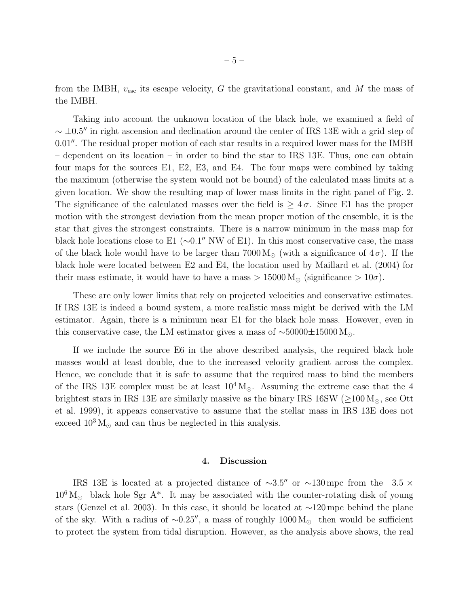from the IMBH,  $v_{\text{esc}}$  its escape velocity, G the gravitational constant, and M the mass of the IMBH.

Taking into account the unknown location of the black hole, we examined a field of  $\sim \pm 0.5''$  in right ascension and declination around the center of IRS 13E with a grid step of 0.01′′. The residual proper motion of each star results in a required lower mass for the IMBH – dependent on its location – in order to bind the star to IRS 13E. Thus, one can obtain four maps for the sources E1, E2, E3, and E4. The four maps were combined by taking the maximum (otherwise the system would not be bound) of the calculated mass limits at a given location. We show the resulting map of lower mass limits in the right panel of Fig. 2. The significance of the calculated masses over the field is  $\geq 4\sigma$ . Since E1 has the proper motion with the strongest deviation from the mean proper motion of the ensemble, it is the star that gives the strongest constraints. There is a narrow minimum in the mass map for black hole locations close to E1 ( $\sim 0.1''$  NW of E1). In this most conservative case, the mass of the black hole would have to be larger than 7000 M<sub>☉</sub> (with a significance of  $4\sigma$ ). If the black hole were located between E2 and E4, the location used by Maillard et al. (2004) for their mass estimate, it would have to have a mass  $> 15000 \,\mathrm{M}_{\odot}$  (significance  $> 10\sigma$ ).

These are only lower limits that rely on projected velocities and conservative estimates. If IRS 13E is indeed a bound system, a more realistic mass might be derived with the LM estimator. Again, there is a minimum near E1 for the black hole mass. However, even in this conservative case, the LM estimator gives a mass of ~50000±15000 M<sub>⊙</sub>.

If we include the source E6 in the above described analysis, the required black hole masses would at least double, due to the increased velocity gradient across the complex. Hence, we conclude that it is safe to assume that the required mass to bind the members of the IRS 13E complex must be at least  $10^4 M_{\odot}$ . Assuming the extreme case that the 4 brightest stars in IRS 13E are similarly massive as the binary IRS 16SW ( $\geq$ 100 M<sub> $\odot$ </sub>, see Ott et al. 1999), it appears conservative to assume that the stellar mass in IRS 13E does not exceed  $10^3$  M<sub> $\odot$ </sub> and can thus be neglected in this analysis.

#### 4. Discussion

IRS 13E is located at a projected distance of  $\sim 3.5''$  or  $\sim 130 \,\text{mpc}$  from the 3.5  $\times$  $10^6 M_{\odot}$  black hole Sgr A<sup>\*</sup>. It may be associated with the counter-rotating disk of young stars (Genzel et al. 2003). In this case, it should be located at ∼120 mpc behind the plane of the sky. With a radius of ~0.25″, a mass of roughly 1000  $M_{\odot}$  then would be sufficient to protect the system from tidal disruption. However, as the analysis above shows, the real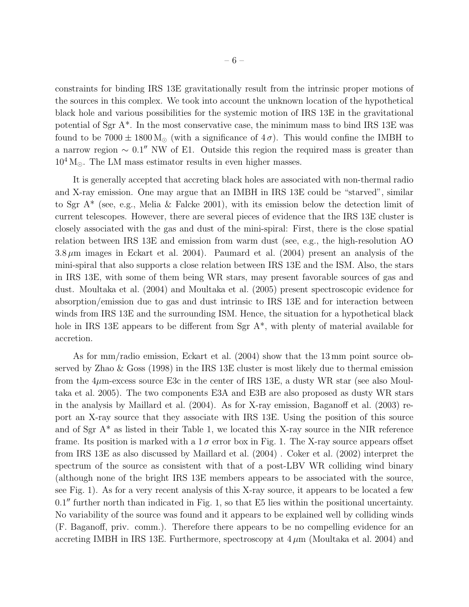constraints for binding IRS 13E gravitationally result from the intrinsic proper motions of the sources in this complex. We took into account the unknown location of the hypothetical black hole and various possibilities for the systemic motion of IRS 13E in the gravitational potential of Sgr A\*. In the most conservative case, the minimum mass to bind IRS 13E was found to be  $7000 \pm 1800 \,\mathrm{M_{\odot}}$  (with a significance of  $4\,\sigma$ ). This would confine the IMBH to a narrow region  $\sim 0.1''$  NW of E1. Outside this region the required mass is greater than  $10^4$  M<sub> $\odot$ </sub>. The LM mass estimator results in even higher masses.

It is generally accepted that accreting black holes are associated with non-thermal radio and X-ray emission. One may argue that an IMBH in IRS 13E could be "starved", similar to Sgr  $A^*$  (see, e.g., Melia & Falcke 2001), with its emission below the detection limit of current telescopes. However, there are several pieces of evidence that the IRS 13E cluster is closely associated with the gas and dust of the mini-spiral: First, there is the close spatial relation between IRS 13E and emission from warm dust (see, e.g., the high-resolution AO  $3.8 \mu m$  images in Eckart et al. 2004). Paumard et al. (2004) present an analysis of the mini-spiral that also supports a close relation between IRS 13E and the ISM. Also, the stars in IRS 13E, with some of them being WR stars, may present favorable sources of gas and dust. Moultaka et al. (2004) and Moultaka et al. (2005) present spectroscopic evidence for absorption/emission due to gas and dust intrinsic to IRS 13E and for interaction between winds from IRS 13E and the surrounding ISM. Hence, the situation for a hypothetical black hole in IRS 13E appears to be different from Sgr  $A^*$ , with plenty of material available for accretion.

As for mm/radio emission, Eckart et al. (2004) show that the 13 mm point source observed by Zhao & Goss (1998) in the IRS 13E cluster is most likely due to thermal emission from the  $4\mu$ m-excess source E3c in the center of IRS 13E, a dusty WR star (see also Moultaka et al. 2005). The two components E3A and E3B are also proposed as dusty WR stars in the analysis by Maillard et al. (2004). As for X-ray emission, Baganoff et al. (2003) report an X-ray source that they associate with IRS 13E. Using the position of this source and of Sgr  $A^*$  as listed in their Table 1, we located this X-ray source in the NIR reference frame. Its position is marked with a  $1\sigma$  error box in Fig. 1. The X-ray source appears offset from IRS 13E as also discussed by Maillard et al. (2004) . Coker et al. (2002) interpret the spectrum of the source as consistent with that of a post-LBV WR colliding wind binary (although none of the bright IRS 13E members appears to be associated with the source, see Fig. 1). As for a very recent analysis of this X-ray source, it appears to be located a few 0.1" further north than indicated in Fig. 1, so that E5 lies within the positional uncertainty. No variability of the source was found and it appears to be explained well by colliding winds (F. Baganoff, priv. comm.). Therefore there appears to be no compelling evidence for an accreting IMBH in IRS 13E. Furthermore, spectroscopy at  $4 \mu$ m (Moultaka et al. 2004) and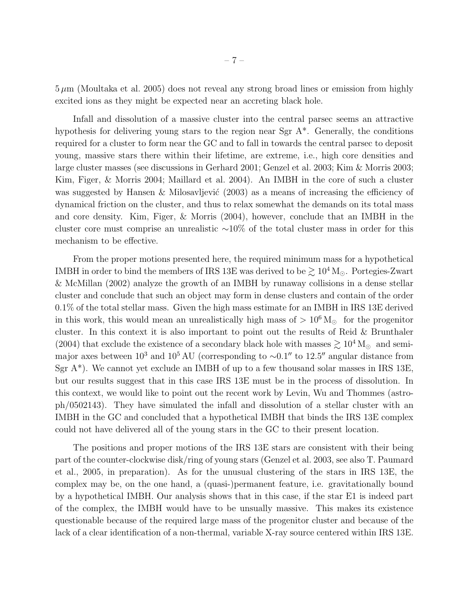$5 \mu m$  (Moultaka et al. 2005) does not reveal any strong broad lines or emission from highly excited ions as they might be expected near an accreting black hole.

Infall and dissolution of a massive cluster into the central parsec seems an attractive hypothesis for delivering young stars to the region near Sgr A\*. Generally, the conditions required for a cluster to form near the GC and to fall in towards the central parsec to deposit young, massive stars there within their lifetime, are extreme, i.e., high core densities and large cluster masses (see discussions in Gerhard 2001; Genzel et al. 2003; Kim & Morris 2003; Kim, Figer, & Morris 2004; Maillard et al. 2004). An IMBH in the core of such a cluster was suggested by Hansen & Milosavljević  $(2003)$  as a means of increasing the efficiency of dynamical friction on the cluster, and thus to relax somewhat the demands on its total mass and core density. Kim, Figer, & Morris (2004), however, conclude that an IMBH in the cluster core must comprise an unrealistic ∼10% of the total cluster mass in order for this mechanism to be effective.

From the proper motions presented here, the required minimum mass for a hypothetical IMBH in order to bind the members of IRS 13E was derived to be  $\gtrsim 10^4$  M<sub>☉</sub>. Portegies-Zwart & McMillan (2002) analyze the growth of an IMBH by runaway collisions in a dense stellar cluster and conclude that such an object may form in dense clusters and contain of the order 0.1% of the total stellar mass. Given the high mass estimate for an IMBH in IRS 13E derived in this work, this would mean an unrealistically high mass of  $> 10^6$  M<sub> $\odot$ </sub> for the progenitor cluster. In this context it is also important to point out the results of Reid & Brunthaler (2004) that exclude the existence of a secondary black hole with masses  $\geq 10^4$  M<sub>☉</sub> and semimajor axes between  $10^3$  and  $10^5$  AU (corresponding to ~0.1″ to 12.5″ angular distance from Sgr  $A^*$ ). We cannot yet exclude an IMBH of up to a few thousand solar masses in IRS 13E, but our results suggest that in this case IRS 13E must be in the process of dissolution. In this context, we would like to point out the recent work by Levin, Wu and Thommes (astroph/0502143). They have simulated the infall and dissolution of a stellar cluster with an IMBH in the GC and concluded that a hypothetical IMBH that binds the IRS 13E complex could not have delivered all of the young stars in the GC to their present location.

The positions and proper motions of the IRS 13E stars are consistent with their being part of the counter-clockwise disk/ring of young stars (Genzel et al. 2003, see also T. Paumard et al., 2005, in preparation). As for the unusual clustering of the stars in IRS 13E, the complex may be, on the one hand, a (quasi-)permanent feature, i.e. gravitationally bound by a hypothetical IMBH. Our analysis shows that in this case, if the star E1 is indeed part of the complex, the IMBH would have to be unsually massive. This makes its existence questionable because of the required large mass of the progenitor cluster and because of the lack of a clear identification of a non-thermal, variable X-ray source centered within IRS 13E.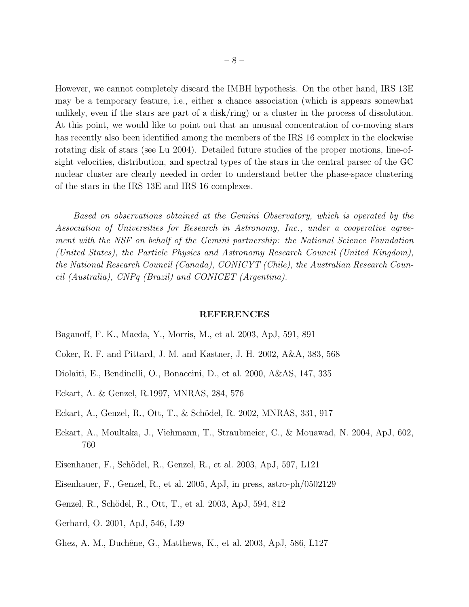However, we cannot completely discard the IMBH hypothesis. On the other hand, IRS 13E may be a temporary feature, i.e., either a chance association (which is appears somewhat unlikely, even if the stars are part of a disk/ring) or a cluster in the process of dissolution. At this point, we would like to point out that an unusual concentration of co-moving stars has recently also been identified among the members of the IRS 16 complex in the clockwise rotating disk of stars (see Lu 2004). Detailed future studies of the proper motions, line-ofsight velocities, distribution, and spectral types of the stars in the central parsec of the GC nuclear cluster are clearly needed in order to understand better the phase-space clustering of the stars in the IRS 13E and IRS 16 complexes.

*Based on observations obtained at the Gemini Observatory, which is operated by the Association of Universities for Research in Astronomy, Inc., under a cooperative agreement with the NSF on behalf of the Gemini partnership: the National Science Foundation (United States), the Particle Physics and Astronomy Research Council (United Kingdom), the National Research Council (Canada), CONICYT (Chile), the Australian Research Council (Australia), CNPq (Brazil) and CONICET (Argentina).*

#### REFERENCES

- Baganoff, F. K., Maeda, Y., Morris, M., et al. 2003, ApJ, 591, 891
- Coker, R. F. and Pittard, J. M. and Kastner, J. H. 2002, A&A, 383, 568
- Diolaiti, E., Bendinelli, O., Bonaccini, D., et al. 2000, A&AS, 147, 335
- Eckart, A. & Genzel, R.1997, MNRAS, 284, 576
- Eckart, A., Genzel, R., Ott, T., & Schödel, R. 2002, MNRAS, 331, 917
- Eckart, A., Moultaka, J., Viehmann, T., Straubmeier, C., & Mouawad, N. 2004, ApJ, 602, 760
- Eisenhauer, F., Schödel, R., Genzel, R., et al. 2003, ApJ, 597, L121
- Eisenhauer, F., Genzel, R., et al. 2005, ApJ, in press, astro-ph/0502129
- Genzel, R., Schödel, R., Ott, T., et al. 2003, ApJ, 594, 812
- Gerhard, O. 2001, ApJ, 546, L39
- Ghez, A. M., Duchêne, G., Matthews, K., et al. 2003, ApJ, 586, L127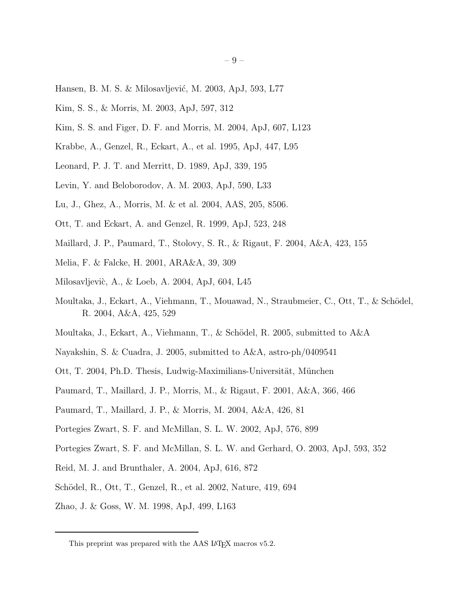- Hansen, B. M. S. & Milosavljević, M. 2003, ApJ, 593, L77
- Kim, S. S., & Morris, M. 2003, ApJ, 597, 312
- Kim, S. S. and Figer, D. F. and Morris, M. 2004, ApJ, 607, L123
- Krabbe, A., Genzel, R., Eckart, A., et al. 1995, ApJ, 447, L95
- Leonard, P. J. T. and Merritt, D. 1989, ApJ, 339, 195
- Levin, Y. and Beloborodov, A. M. 2003, ApJ, 590, L33
- Lu, J., Ghez, A., Morris, M. & et al. 2004, AAS, 205, 8506.
- Ott, T. and Eckart, A. and Genzel, R. 1999, ApJ, 523, 248
- Maillard, J. P., Paumard, T., Stolovy, S. R., & Rigaut, F. 2004, A&A, 423, 155
- Melia, F. & Falcke, H. 2001, ARA&A, 39, 309
- Milosavljević, A., & Loeb, A. 2004, ApJ, 604, L45
- Moultaka, J., Eckart, A., Viehmann, T., Mouawad, N., Straubmeier, C., Ott, T., & Schödel, R. 2004, A&A, 425, 529
- Moultaka, J., Eckart, A., Viehmann, T., & Schödel, R. 2005, submitted to  $A\&A$
- Nayakshin, S. & Cuadra, J. 2005, submitted to A&A, astro-ph/0409541
- Ott, T. 2004, Ph.D. Thesis, Ludwig-Maximilians-Universität, München
- Paumard, T., Maillard, J. P., Morris, M., & Rigaut, F. 2001, A&A, 366, 466
- Paumard, T., Maillard, J. P., & Morris, M. 2004, A&A, 426, 81
- Portegies Zwart, S. F. and McMillan, S. L. W. 2002, ApJ, 576, 899
- Portegies Zwart, S. F. and McMillan, S. L. W. and Gerhard, O. 2003, ApJ, 593, 352
- Reid, M. J. and Brunthaler, A. 2004, ApJ, 616, 872
- Schödel, R., Ott, T., Genzel, R., et al. 2002, Nature, 419, 694
- Zhao, J. & Goss, W. M. 1998, ApJ, 499, L163

This preprint was prepared with the AAS IATEX macros v5.2.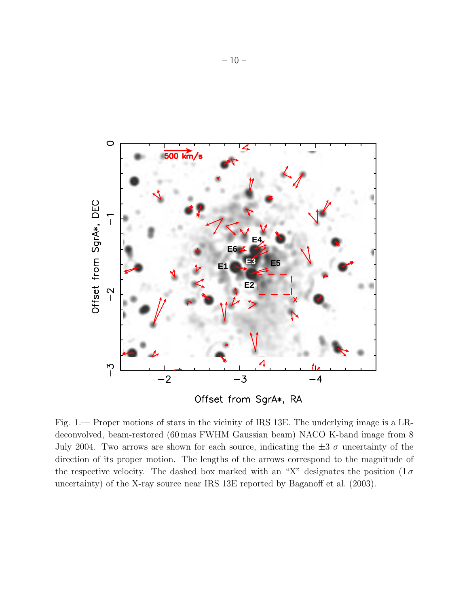

Offset from SgrA\*, RA

Fig. 1.— Proper motions of stars in the vicinity of IRS 13E. The underlying image is a LRdeconvolved, beam-restored (60 mas FWHM Gaussian beam) NACO K-band image from 8 July 2004. Two arrows are shown for each source, indicating the  $\pm 3\sigma$  uncertainty of the direction of its proper motion. The lengths of the arrows correspond to the magnitude of the respective velocity. The dashed box marked with an "X" designates the position  $(1\sigma)$ uncertainty) of the X-ray source near IRS 13E reported by Baganoff et al. (2003).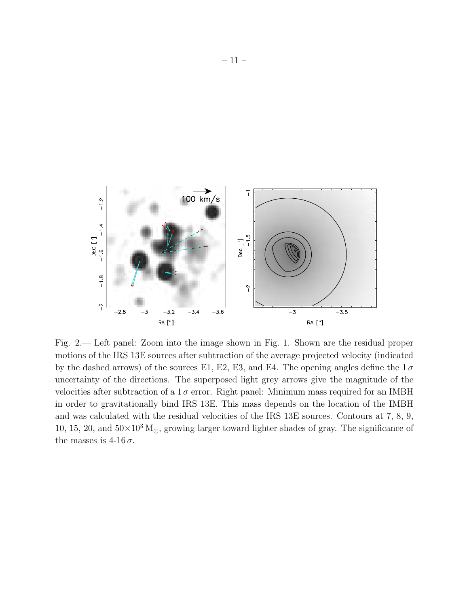

Fig. 2.— Left panel: Zoom into the image shown in Fig. 1. Shown are the residual proper motions of the IRS 13E sources after subtraction of the average projected velocity (indicated by the dashed arrows) of the sources E1, E2, E3, and E4. The opening angles define the  $1\sigma$ uncertainty of the directions. The superposed light grey arrows give the magnitude of the velocities after subtraction of a  $1\sigma$  error. Right panel: Minimum mass required for an IMBH in order to gravitationally bind IRS 13E. This mass depends on the location of the IMBH and was calculated with the residual velocities of the IRS 13E sources. Contours at 7, 8, 9, 10, 15, 20, and  $50\times10^3$  M<sub>☉</sub>, growing larger toward lighter shades of gray. The significance of the masses is  $4\n-16\sigma$ .